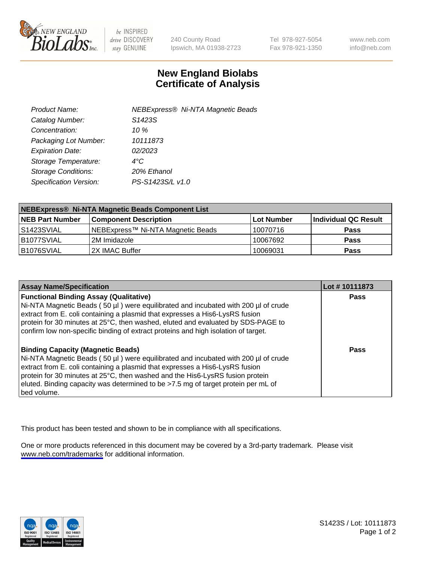

be INSPIRED drive DISCOVERY stay GENUINE

240 County Road Ipswich, MA 01938-2723 Tel 978-927-5054 Fax 978-921-1350

www.neb.com info@neb.com

## **New England Biolabs Certificate of Analysis**

| Product Name:              | <b>NEBExpress® Ni-NTA Magnetic Beads</b> |
|----------------------------|------------------------------------------|
| Catalog Number:            | S1423S                                   |
| Concentration:             | 10 %                                     |
| Packaging Lot Number:      | 10111873                                 |
| <b>Expiration Date:</b>    | 02/2023                                  |
| Storage Temperature:       | $4^{\circ}$ C                            |
| <b>Storage Conditions:</b> | 20% Ethanol                              |
| Specification Version:     | PS-S1423S/L v1.0                         |
|                            |                                          |

| NEBExpress® Ni-NTA Magnetic Beads Component List |                                   |            |                      |  |
|--------------------------------------------------|-----------------------------------|------------|----------------------|--|
| <b>NEB Part Number</b>                           | <b>Component Description</b>      | Lot Number | Individual QC Result |  |
| l S1423SVIAL                                     | NEBExpress™ Ni-NTA Magnetic Beads | 10070716   | <b>Pass</b>          |  |
| B1077SVIAL                                       | l 2M Imidazole.                   | 10067692   | <b>Pass</b>          |  |
| B1076SVIAL                                       | 2X IMAC Buffer                    | 10069031   | <b>Pass</b>          |  |

| <b>Assay Name/Specification</b>                                                                                                                                                                                                                                                                                                                                                                     | Lot #10111873 |
|-----------------------------------------------------------------------------------------------------------------------------------------------------------------------------------------------------------------------------------------------------------------------------------------------------------------------------------------------------------------------------------------------------|---------------|
| <b>Functional Binding Assay (Qualitative)</b><br>Ni-NTA Magnetic Beads (50 µl) were equilibrated and incubated with 200 µl of crude<br>extract from E. coli containing a plasmid that expresses a His6-LysRS fusion<br>protein for 30 minutes at 25°C, then washed, eluted and evaluated by SDS-PAGE to<br>confirm low non-specific binding of extract proteins and high isolation of target.       | <b>Pass</b>   |
| <b>Binding Capacity (Magnetic Beads)</b><br>Ni-NTA Magnetic Beads (50 µl) were equilibrated and incubated with 200 µl of crude<br>extract from E. coli containing a plasmid that expresses a His6-LysRS fusion<br>protein for 30 minutes at 25°C, then washed and the His6-LysRS fusion protein<br>eluted. Binding capacity was determined to be >7.5 mg of target protein per mL of<br>bed volume. | Pass          |

This product has been tested and shown to be in compliance with all specifications.

One or more products referenced in this document may be covered by a 3rd-party trademark. Please visit <www.neb.com/trademarks>for additional information.